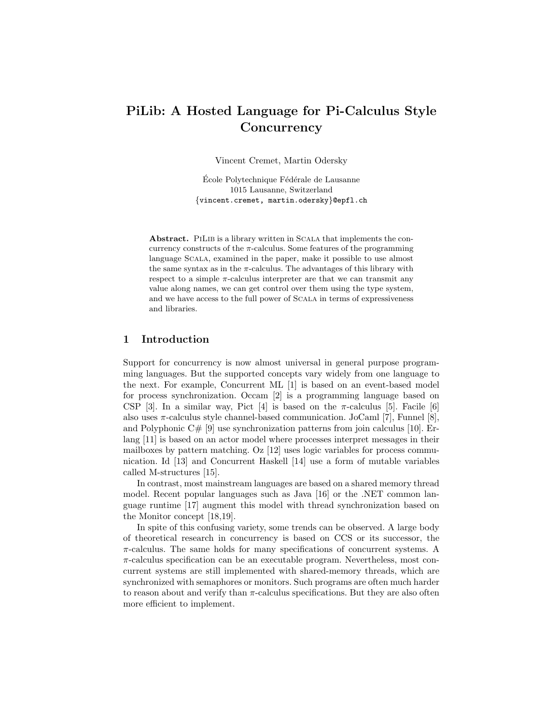# PiLib: A Hosted Language for Pi-Calculus Style **Concurrency**

Vincent Cremet, Martin Odersky

École Polytechnique Fédérale de Lausanne 1015 Lausanne, Switzerland {vincent.cremet, martin.odersky}@epfl.ch

Abstract. PILIB is a library written in SCALA that implements the concurrency constructs of the  $\pi$ -calculus. Some features of the programming language Scala, examined in the paper, make it possible to use almost the same syntax as in the  $\pi$ -calculus. The advantages of this library with respect to a simple  $\pi$ -calculus interpreter are that we can transmit any value along names, we can get control over them using the type system, and we have access to the full power of Scala in terms of expressiveness and libraries.

# 1 Introduction

Support for concurrency is now almost universal in general purpose programming languages. But the supported concepts vary widely from one language to the next. For example, Concurrent ML [\[1\]](#page-14-0) is based on an event-based model for process synchronization. Occam [\[2\]](#page-14-1) is a programming language based on CSP [\[3\]](#page-14-2). In a similar way, Pict [\[4\]](#page-14-3) is based on the  $\pi$ -calculus [\[5\]](#page-14-4). Facile [\[6\]](#page-14-5) also uses  $\pi$ -calculus style channel-based communication. JoCaml [\[7\]](#page-14-6), Funnel [\[8\]](#page-14-7), and Polyphonic C# [\[9\]](#page-14-8) use synchronization patterns from join calculus [\[10\]](#page-14-9). Erlang [\[11\]](#page-14-10) is based on an actor model where processes interpret messages in their mailboxes by pattern matching. Oz [\[12\]](#page-14-11) uses logic variables for process communication. Id [\[13\]](#page-14-12) and Concurrent Haskell [\[14\]](#page-14-13) use a form of mutable variables called M-structures [\[15\]](#page-15-0).

In contrast, most mainstream languages are based on a shared memory thread model. Recent popular languages such as Java [\[16\]](#page-15-1) or the .NET common language runtime [\[17\]](#page-15-2) augment this model with thread synchronization based on the Monitor concept [\[18](#page-15-3)[,19\]](#page-15-4).

In spite of this confusing variety, some trends can be observed. A large body of theoretical research in concurrency is based on CCS or its successor, the  $\pi$ -calculus. The same holds for many specifications of concurrent systems. A  $\pi$ -calculus specification can be an executable program. Nevertheless, most concurrent systems are still implemented with shared-memory threads, which are synchronized with semaphores or monitors. Such programs are often much harder to reason about and verify than  $\pi$ -calculus specifications. But they are also often more efficient to implement.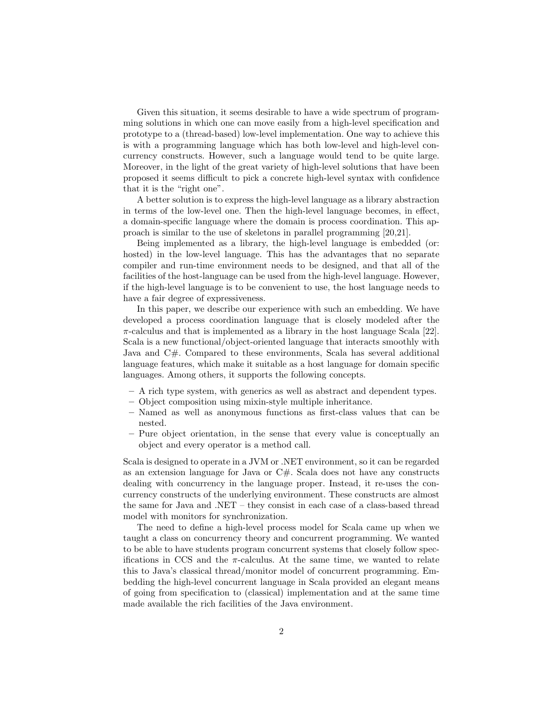Given this situation, it seems desirable to have a wide spectrum of programming solutions in which one can move easily from a high-level specification and prototype to a (thread-based) low-level implementation. One way to achieve this is with a programming language which has both low-level and high-level concurrency constructs. However, such a language would tend to be quite large. Moreover, in the light of the great variety of high-level solutions that have been proposed it seems difficult to pick a concrete high-level syntax with confidence that it is the "right one".

A better solution is to express the high-level language as a library abstraction in terms of the low-level one. Then the high-level language becomes, in effect, a domain-specific language where the domain is process coordination. This approach is similar to the use of skeletons in parallel programming [\[20](#page-15-5)[,21\]](#page-15-6).

Being implemented as a library, the high-level language is embedded (or: hosted) in the low-level language. This has the advantages that no separate compiler and run-time environment needs to be designed, and that all of the facilities of the host-language can be used from the high-level language. However, if the high-level language is to be convenient to use, the host language needs to have a fair degree of expressiveness.

In this paper, we describe our experience with such an embedding. We have developed a process coordination language that is closely modeled after the  $\pi$ -calculus and that is implemented as a library in the host language Scala [\[22\]](#page-15-7). Scala is a new functional/object-oriented language that interacts smoothly with Java and C#. Compared to these environments, Scala has several additional language features, which make it suitable as a host language for domain specific languages. Among others, it supports the following concepts.

- A rich type system, with generics as well as abstract and dependent types.
- Object composition using mixin-style multiple inheritance.
- Named as well as anonymous functions as first-class values that can be nested.
- Pure object orientation, in the sense that every value is conceptually an object and every operator is a method call.

Scala is designed to operate in a JVM or .NET environment, so it can be regarded as an extension language for Java or  $C#$ . Scala does not have any constructs dealing with concurrency in the language proper. Instead, it re-uses the concurrency constructs of the underlying environment. These constructs are almost the same for Java and .NET – they consist in each case of a class-based thread model with monitors for synchronization.

The need to define a high-level process model for Scala came up when we taught a class on concurrency theory and concurrent programming. We wanted to be able to have students program concurrent systems that closely follow specifications in CCS and the  $\pi$ -calculus. At the same time, we wanted to relate this to Java's classical thread/monitor model of concurrent programming. Embedding the high-level concurrent language in Scala provided an elegant means of going from specification to (classical) implementation and at the same time made available the rich facilities of the Java environment.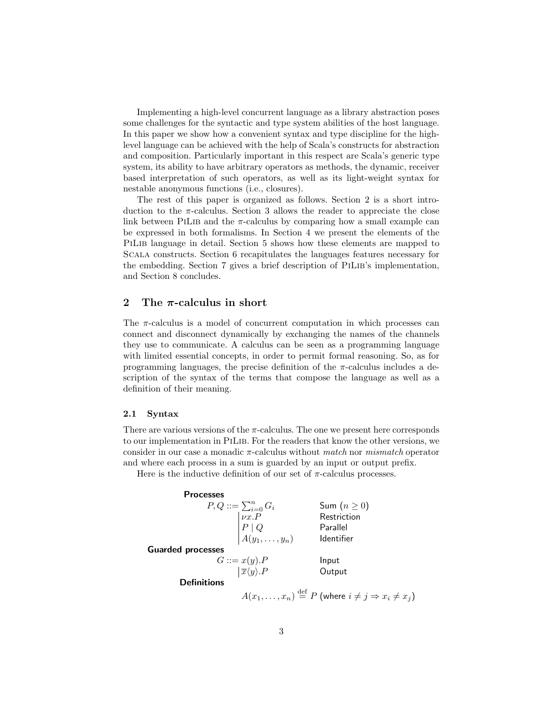Implementing a high-level concurrent language as a library abstraction poses some challenges for the syntactic and type system abilities of the host language. In this paper we show how a convenient syntax and type discipline for the highlevel language can be achieved with the help of Scala's constructs for abstraction and composition. Particularly important in this respect are Scala's generic type system, its ability to have arbitrary operators as methods, the dynamic, receiver based interpretation of such operators, as well as its light-weight syntax for nestable anonymous functions (i.e., closures).

The rest of this paper is organized as follows. Section [2](#page-2-0) is a short introduction to the  $\pi$ -calculus. Section [3](#page-4-0) allows the reader to appreciate the close link between PILIB and the  $\pi$ -calculus by comparing how a small example can be expressed in both formalisms. In Section [4](#page-7-0) we present the elements of the PiLib language in detail. Section [5](#page-9-0) shows how these elements are mapped to Scala constructs. Section [6](#page-11-0) recapitulates the languages features necessary for the embedding. Section [7](#page-12-0) gives a brief description of PiLib's implementation, and Section [8](#page-13-0) concludes.

# <span id="page-2-0"></span>2 The  $\pi$ -calculus in short

The  $\pi$ -calculus is a model of concurrent computation in which processes can connect and disconnect dynamically by exchanging the names of the channels they use to communicate. A calculus can be seen as a programming language with limited essential concepts, in order to permit formal reasoning. So, as for programming languages, the precise definition of the  $\pi$ -calculus includes a description of the syntax of the terms that compose the language as well as a definition of their meaning.

### 2.1 Syntax

There are various versions of the  $\pi$ -calculus. The one we present here corresponds to our implementation in PiLib. For the readers that know the other versions, we consider in our case a monadic  $\pi$ -calculus without match nor mismatch operator and where each process in a sum is guarded by an input or output prefix.

Here is the inductive definition of our set of  $\pi$ -calculus processes.

| <b>Processes</b>         |                                                                                                          |                                                                                       |
|--------------------------|----------------------------------------------------------------------------------------------------------|---------------------------------------------------------------------------------------|
|                          |                                                                                                          | Sum $(n \geq 0)$                                                                      |
|                          |                                                                                                          | Restriction                                                                           |
|                          |                                                                                                          | Parallel                                                                              |
|                          | $P,Q ::= \sum_{i=0}^{n} G_i$<br>$\begin{vmatrix} \nu x.P \\ P \mid Q \\ A(y_1,\ldots,y_n) \end{vmatrix}$ | <b>Identifier</b>                                                                     |
| <b>Guarded processes</b> |                                                                                                          |                                                                                       |
|                          | $G ::= x(y).P$                                                                                           | Input                                                                                 |
|                          | $\ket{\overline{x}\langle y}.P$                                                                          | Output                                                                                |
| <b>Definitions</b>       |                                                                                                          |                                                                                       |
|                          |                                                                                                          | $A(x_1,,x_n) \stackrel{\text{def}}{=} P$ (where $i \neq j \Rightarrow x_i \neq x_j$ ) |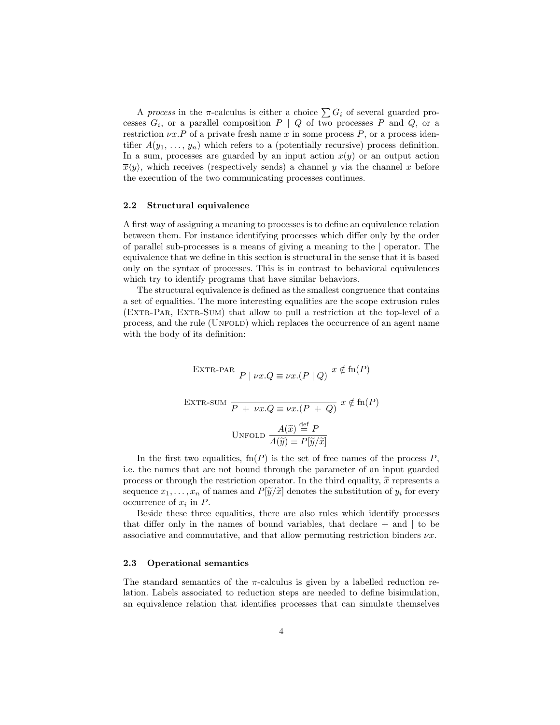A process in the  $\pi$ -calculus is either a choice  $\sum G_i$  of several guarded processes  $G_i$ , or a parallel composition  $P \mid Q$  of two processes P and Q, or a restriction  $\nu x.P$  of a private fresh name x in some process P, or a process identifier  $A(y_1, \ldots, y_n)$  which refers to a (potentially recursive) process definition. In a sum, processes are guarded by an input action  $x(y)$  or an output action  $\overline{x}\langle y \rangle$ , which receives (respectively sends) a channel y via the channel x before the execution of the two communicating processes continues.

#### 2.2 Structural equivalence

A first way of assigning a meaning to processes is to define an equivalence relation between them. For instance identifying processes which differ only by the order of parallel sub-processes is a means of giving a meaning to the | operator. The equivalence that we define in this section is structural in the sense that it is based only on the syntax of processes. This is in contrast to behavioral equivalences which try to identify programs that have similar behaviors.

The structural equivalence is defined as the smallest congruence that contains a set of equalities. The more interesting equalities are the scope extrusion rules (EXTR-PAR, EXTR-SUM) that allow to pull a restriction at the top-level of a process, and the rule (Unfold) which replaces the occurrence of an agent name with the body of its definition:

EXTR-PAR

\n
$$
\overline{P \mid \nu x.Q} \equiv \nu x.(P \mid Q) \quad x \notin \text{fn}(P)
$$
\nEXTR-SUM

\n
$$
\overline{P + \nu x.Q} \equiv \nu x.(P + Q) \quad x \notin \text{fn}(P)
$$
\nUNFOLD

\n
$$
\frac{A(\widetilde{x}) \stackrel{\text{def}}{=} P}{A(\widetilde{y}) \equiv P[\widetilde{y}/\widetilde{x}]}
$$

In the first two equalities,  $fn(P)$  is the set of free names of the process  $P$ , i.e. the names that are not bound through the parameter of an input guarded process or through the restriction operator. In the third equality,  $\tilde{x}$  represents a sequence  $x_1, \ldots, x_n$  of names and  $P[\widetilde{y}/\widetilde{x}]$  denotes the substitution of  $y_i$  for every occurrence of  $x_i$  in  $P$ .

Beside these three equalities, there are also rules which identify processes that differ only in the names of bound variables, that declare  $+$  and  $\vert$  to be associative and commutative, and that allow permuting restriction binders  $\nu x$ .

#### 2.3 Operational semantics

The standard semantics of the  $\pi$ -calculus is given by a labelled reduction relation. Labels associated to reduction steps are needed to define bisimulation, an equivalence relation that identifies processes that can simulate themselves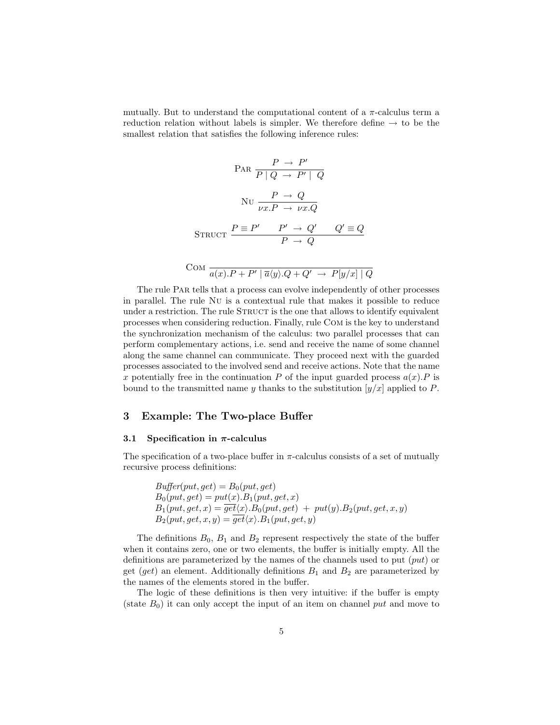mutually. But to understand the computational content of a  $\pi$ -calculus term a reduction relation without labels is simpler. We therefore define  $\rightarrow$  to be the smallest relation that satisfies the following inference rules:

$$
\text{PAR} \frac{P \rightarrow P'}{P | Q \rightarrow P' | Q}
$$
\n
$$
\text{NU} \frac{P \rightarrow Q}{\nu x. P \rightarrow \nu x. Q}
$$
\n
$$
\text{STRUCT} \frac{P \equiv P' \quad P' \rightarrow Q' \quad Q' \equiv Q}{P \rightarrow Q}
$$
\n
$$
\text{COM} \frac{P \equiv P' \quad P' \rightarrow Q'}{a(x). P + P' | \overline{a} \langle y \rangle. Q + Q' \rightarrow P[y/x] | Q}
$$

The rule Par tells that a process can evolve independently of other processes in parallel. The rule Nu is a contextual rule that makes it possible to reduce under a restriction. The rule STRUCT is the one that allows to identify equivalent processes when considering reduction. Finally, rule Com is the key to understand the synchronization mechanism of the calculus: two parallel processes that can perform complementary actions, i.e. send and receive the name of some channel along the same channel can communicate. They proceed next with the guarded processes associated to the involved send and receive actions. Note that the name x potentially free in the continuation P of the input guarded process  $a(x)$ . P is bound to the transmitted name y thanks to the substitution  $[y/x]$  applied to P.

### <span id="page-4-0"></span>3 Example: The Two-place Buffer

#### 3.1 Specification in  $\pi$ -calculus

The specification of a two-place buffer in  $\pi$ -calculus consists of a set of mutually recursive process definitions:

$$
Buffer(put, get) = B0(put, get)
$$
  
\n
$$
B0(put, get) = put(x).B1(put, get, x)
$$
  
\n
$$
B1(put, get, x) = \overline{get(x)}.B0(put, get) + put(y).B2(put, get, x, y)
$$
  
\n
$$
B2(put, get, x, y) = \overline{get(x)}.B1(put, get, y)
$$

The definitions  $B_0$ ,  $B_1$  and  $B_2$  represent respectively the state of the buffer when it contains zero, one or two elements, the buffer is initially empty. All the definitions are parameterized by the names of the channels used to put (put) or get (get) an element. Additionally definitions  $B_1$  and  $B_2$  are parameterized by the names of the elements stored in the buffer.

The logic of these definitions is then very intuitive: if the buffer is empty (state  $B_0$ ) it can only accept the input of an item on channel put and move to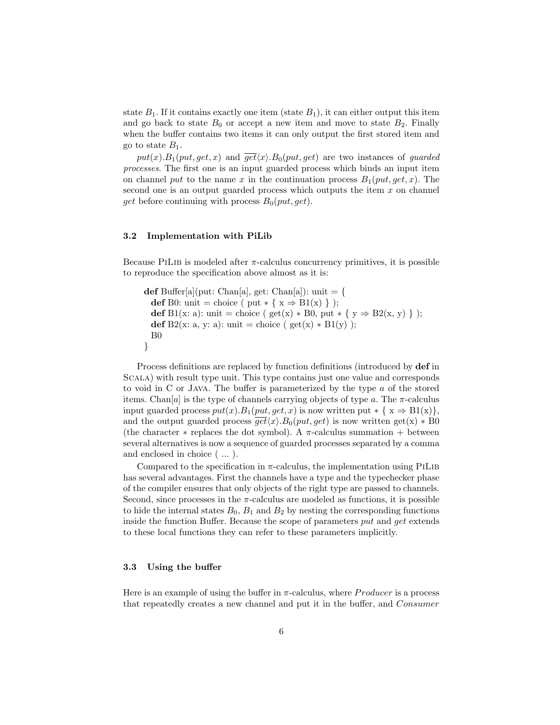state  $B_1$ . If it contains exactly one item (state  $B_1$ ), it can either output this item and go back to state  $B_0$  or accept a new item and move to state  $B_2$ . Finally when the buffer contains two items it can only output the first stored item and go to state  $B_1$ .

 $put(x).B_1(put, get, x)$  and  $\overline{get}\langle x\rangle.B_0(put, get)$  are two instances of guarded processes. The first one is an input guarded process which binds an input item on channel put to the name x in the continuation process  $B_1(put, get, x)$ . The second one is an output guarded process which outputs the item  $x$  on channel get before continuing with process  $B_0(put, get)$ .

#### 3.2 Implementation with PiLib

Because PILIB is modeled after  $\pi$ -calculus concurrency primitives, it is possible to reproduce the specification above almost as it is:

```
def Buffer[a](put: Chan[a], get: Chan[a]): unit = {
 def B0: unit = choice ( put *\{x \Rightarrow B1(x)\}\;);
 def B1(x: a): unit = choice (get(x) * B0, put * { y \Rightarrow B2(x, y) } );
 def B2(x: a, y: a): unit = choice (get(x) * B1(y));
 B0
}
```
Process definitions are replaced by function definitions (introduced by def in Scala) with result type unit. This type contains just one value and corresponds to void in C or Java. The buffer is parameterized by the type a of the stored items. Chan[a] is the type of channels carrying objects of type a. The  $\pi$ -calculus input guarded process  $put(x).B_1(put, get, x)$  is now written put  $*\{x \Rightarrow B1(x)\}\,$ and the output guarded process  $\overline{get}\langle x\rangle.B_0(put, get)$  is now written get $(x) * B_0$ (the character  $*$  replaces the dot symbol). A  $\pi$ -calculus summation + between several alternatives is now a sequence of guarded processes separated by a comma and enclosed in choice ( ... ).

Compared to the specification in  $\pi$ -calculus, the implementation using PILIB has several advantages. First the channels have a type and the typechecker phase of the compiler ensures that only objects of the right type are passed to channels. Second, since processes in the  $\pi$ -calculus are modeled as functions, it is possible to hide the internal states  $B_0$ ,  $B_1$  and  $B_2$  by nesting the corresponding functions inside the function Buffer. Because the scope of parameters put and get extends to these local functions they can refer to these parameters implicitly.

#### 3.3 Using the buffer

Here is an example of using the buffer in  $\pi$ -calculus, where *Producer* is a process that repeatedly creates a new channel and put it in the buffer, and Consumer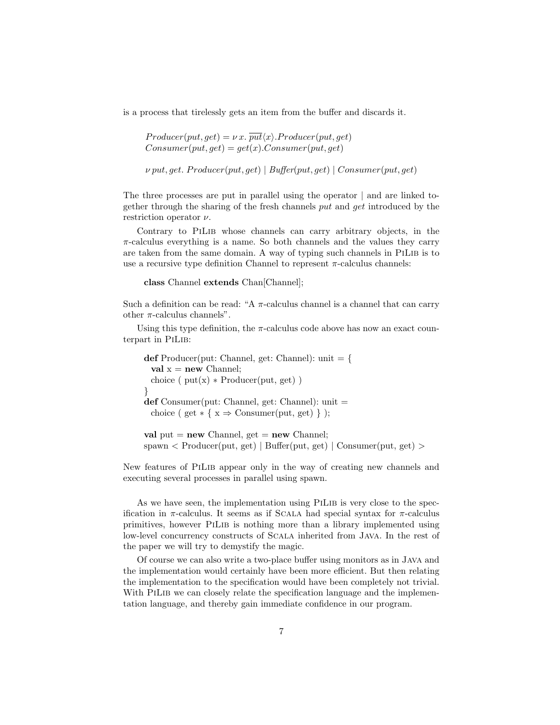is a process that tirelessly gets an item from the buffer and discards it.

 $Product(put, get) = \nu x. \overline{put}\langle x \rangle.Produce(put, get)$  $Consumer(put, get) = get(x). Consumer(put, get)$ 

```
\nu put, get. Producer(put, get) | Buffer(put, get) | Consumer(put, get)
```
The three processes are put in parallel using the operator | and are linked together through the sharing of the fresh channels put and get introduced by the restriction operator  $\nu$ .

Contrary to PiLib whose channels can carry arbitrary objects, in the  $\pi$ -calculus everything is a name. So both channels and the values they carry are taken from the same domain. A way of typing such channels in PILIB is to use a recursive type definition Channel to represent  $\pi$ -calculus channels:

class Channel extends Chan[Channel];

Such a definition can be read: "A  $\pi$ -calculus channel is a channel that can carry other  $\pi$ -calculus channels".

Using this type definition, the  $\pi$ -calculus code above has now an exact counterpart in PiLib:

def Producer(put: Channel, get: Channel): unit  $=$  { val  $x = new$  Channel; choice (  $put(x) * Product(put, get)$  ) } def Consumer(put: Channel, get: Channel): unit = choice (  $get * \{ x \Rightarrow \text{Consumer}(\text{put}, get) \}$ );

val put  $=$  new Channel, get  $=$  new Channel;  $s$ pawn  $\langle$  Producer(put, get) | Buffer(put, get) | Consumer(put, get)  $>$ 

New features of PiLib appear only in the way of creating new channels and executing several processes in parallel using spawn.

As we have seen, the implementation using PILIB is very close to the specification in  $\pi$ -calculus. It seems as if SCALA had special syntax for  $\pi$ -calculus primitives, however PiLib is nothing more than a library implemented using low-level concurrency constructs of Scala inherited from Java. In the rest of the paper we will try to demystify the magic.

Of course we can also write a two-place buffer using monitors as in Java and the implementation would certainly have been more efficient. But then relating the implementation to the specification would have been completely not trivial. With PILIB we can closely relate the specification language and the implementation language, and thereby gain immediate confidence in our program.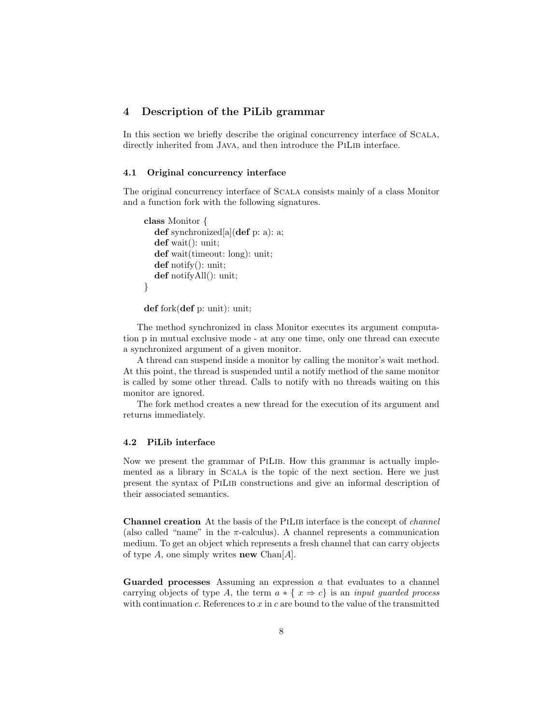### <span id="page-7-0"></span>4 Description of the PiLib grammar

In this section we briefly describe the original concurrency interface of Scala, directly inherited from JAVA, and then introduce the PILIB interface.

### 4.1 Original concurrency interface

The original concurrency interface of Scala consists mainly of a class Monitor and a function fork with the following signatures.

```
class Monitor {
  def synchronized[a](def p: a): a;
  def wait(): unit;
  def wait(timeout: long): unit;
  def notify(): unit;
  def notifyAll(): unit;
}
```
def fork(def p: unit): unit;

The method synchronized in class Monitor executes its argument computation p in mutual exclusive mode - at any one time, only one thread can execute a synchronized argument of a given monitor.

A thread can suspend inside a monitor by calling the monitor's wait method. At this point, the thread is suspended until a notify method of the same monitor is called by some other thread. Calls to notify with no threads waiting on this monitor are ignored.

The fork method creates a new thread for the execution of its argument and returns immediately.

### 4.2 PiLib interface

Now we present the grammar of PiLib. How this grammar is actually implemented as a library in Scala is the topic of the next section. Here we just present the syntax of PiLib constructions and give an informal description of their associated semantics.

Channel creation At the basis of the PILIB interface is the concept of *channel* (also called "name" in the  $\pi$ -calculus). A channel represents a communication medium. To get an object which represents a fresh channel that can carry objects of type  $A$ , one simply writes **new** Chan[A].

**Guarded processes** Assuming an expression  $\alpha$  that evaluates to a channel carrying objects of type A, the term  $a * \{ x \Rightarrow c \}$  is an *input guarded process* with continuation  $c$ . References to  $x$  in  $c$  are bound to the value of the transmitted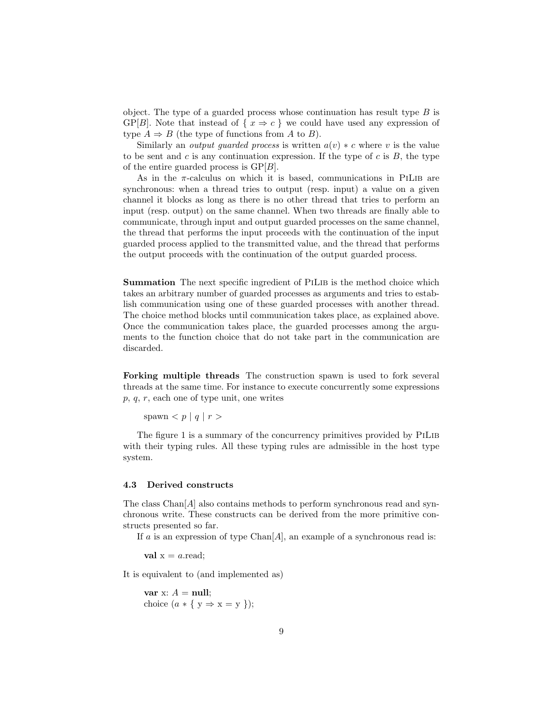object. The type of a guarded process whose continuation has result type  $B$  is GP[B]. Note that instead of  $\{x \Rightarrow c\}$  we could have used any expression of type  $A \Rightarrow B$  (the type of functions from A to B).

Similarly an *output guarded process* is written  $a(v) * c$  where v is the value to be sent and  $c$  is any continuation expression. If the type of  $c$  is  $B$ , the type of the entire guarded process is  $\text{GP}[B]$ .

As in the  $\pi$ -calculus on which it is based, communications in PILIB are synchronous: when a thread tries to output (resp. input) a value on a given channel it blocks as long as there is no other thread that tries to perform an input (resp. output) on the same channel. When two threads are finally able to communicate, through input and output guarded processes on the same channel, the thread that performs the input proceeds with the continuation of the input guarded process applied to the transmitted value, and the thread that performs the output proceeds with the continuation of the output guarded process.

**Summation** The next specific ingredient of PILIB is the method choice which takes an arbitrary number of guarded processes as arguments and tries to establish communication using one of these guarded processes with another thread. The choice method blocks until communication takes place, as explained above. Once the communication takes place, the guarded processes among the arguments to the function choice that do not take part in the communication are discarded.

Forking multiple threads The construction spawn is used to fork several threads at the same time. For instance to execute concurrently some expressions p, q, r, each one of type unit, one writes

spawn  $\langle p \mid q \mid r \rangle$ 

The figure [1](#page-9-1) is a summary of the concurrency primitives provided by PiLib with their typing rules. All these typing rules are admissible in the host type system.

#### 4.3 Derived constructs

The class Chan[A] also contains methods to perform synchronous read and synchronous write. These constructs can be derived from the more primitive constructs presented so far.

If a is an expression of type  ${\rm Chan}[A]$ , an example of a synchronous read is:

val  $x = a$  read;

It is equivalent to (and implemented as)

var x:  $A = \text{null}$ ; choice  $(a * \{ y \Rightarrow x = y \})$ ;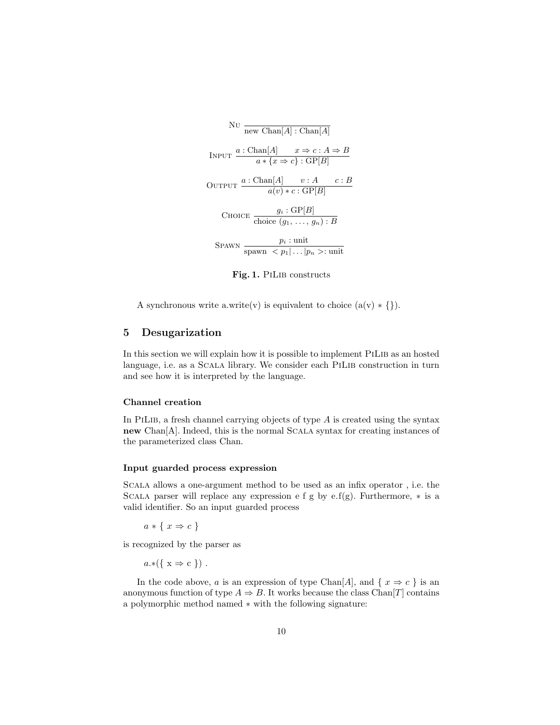| NU new Chan[A] : Chan[A]                                                       |
|--------------------------------------------------------------------------------|
| INPUT $\frac{a:\text{Chan}[A]}{a*\{x \Rightarrow c\}:\text{GP}[B]}$            |
| OUTPUT $\frac{a:\text{Chan}[A]}{a(v)*c:\text{GP}[B]}$ $v:A$ $c:B$              |
| CHOICE $\frac{g_i : \text{GP}[B]}{\text{choice}(g_1, \ldots, g_n) : B}$        |
| $p_i:$ unit<br>$S$ pawn ——<br>spawn $\langle p_1   \dots   p_n \rangle$ : unit |

<span id="page-9-1"></span>Fig. 1. PILIB constructs

A synchronous write a.write(v) is equivalent to choice  $(a(v) * \{\})$ .

### <span id="page-9-0"></span>5 Desugarization

In this section we will explain how it is possible to implement PILIB as an hosted language, i.e. as a SCALA library. We consider each PILIB construction in turn and see how it is interpreted by the language.

#### Channel creation

In PILIB, a fresh channel carrying objects of type  $A$  is created using the syntax new Chan[A]. Indeed, this is the normal Scala syntax for creating instances of the parameterized class Chan.

#### Input guarded process expression

Scala allows a one-argument method to be used as an infix operator , i.e. the SCALA parser will replace any expression e f g by e.f(g). Furthermore,  $*$  is a valid identifier. So an input guarded process

 $a * \{ x \Rightarrow c \}$ 

is recognized by the parser as

 $a.*({ x \Rightarrow c } )$ .

In the code above, a is an expression of type Chan[A], and  $\{x \Rightarrow c\}$  is an anonymous function of type  $A \Rightarrow B$ . It works because the class Chan[T] contains a polymorphic method named ∗ with the following signature: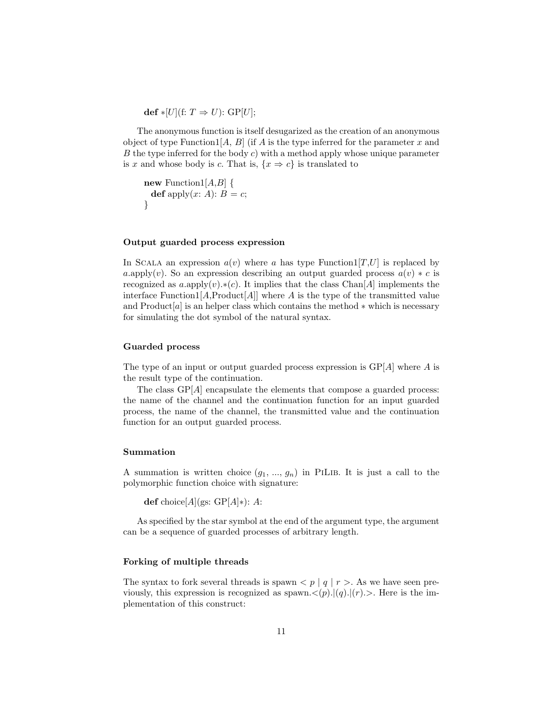def  $*[U](f: T \Rightarrow U)$ : GP[U];

The anonymous function is itself desugarized as the creation of an anonymous object of type Function1[A, B] (if A is the type inferred for the parameter x and B the type inferred for the body  $c$ ) with a method apply whose unique parameter is x and whose body is c. That is,  $\{x \Rightarrow c\}$  is translated to

```
new Function1[A,B] {
 def apply(x: A): B = c;}
```
#### Output guarded process expression

In SCALA an expression  $a(v)$  where a has type Function1[T,U] is replaced by a.apply(v). So an expression describing an output guarded process  $a(v) * c$  is recognized as a.apply(v). $*(c)$ . It implies that the class Chan[A] implements the interface Function1[ $A$ ,Product[ $A$ ]] where  $A$  is the type of the transmitted value and Product[a] is an helper class which contains the method  $*$  which is necessary for simulating the dot symbol of the natural syntax.

### Guarded process

The type of an input or output guarded process expression is  $\text{GP}[A]$  where A is the result type of the continuation.

The class GP[A] encapsulate the elements that compose a guarded process: the name of the channel and the continuation function for an input guarded process, the name of the channel, the transmitted value and the continuation function for an output guarded process.

#### Summation

A summation is written choice  $(g_1, ..., g_n)$  in PILIB. It is just a call to the polymorphic function choice with signature:

def choice[ $A$ ](gs: GP[ $A$ ]∗):  $A$ :

As specified by the star symbol at the end of the argument type, the argument can be a sequence of guarded processes of arbitrary length.

### Forking of multiple threads

The syntax to fork several threads is spawn  $\langle p | q | r \rangle$ . As we have seen previously, this expression is recognized as spawn. $\langle p|(|q|,|(r) \rangle)$ . Here is the implementation of this construct: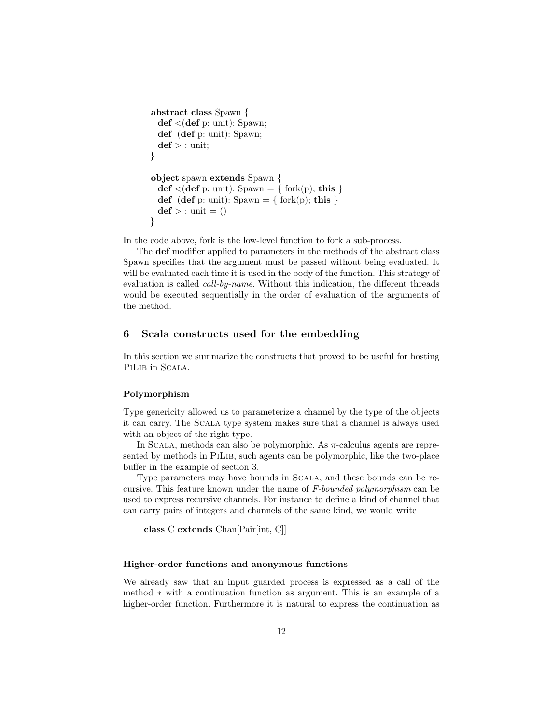```
abstract class Spawn {
  \det <(\det p: unit): Spawn;
  def |(def p: unit): Spawn;
  \mathbf{def} > \mathbf{:} unit;
}
object spawn extends Spawn {
  \textbf{def} <(\textbf{def} p: unit): Spawn = { fork(p); this }
  def |(def p: unit): Spawn = { fork(p); this }
  \text{def} > : unit = ()
}
```
In the code above, fork is the low-level function to fork a sub-process.

The def modifier applied to parameters in the methods of the abstract class Spawn specifies that the argument must be passed without being evaluated. It will be evaluated each time it is used in the body of the function. This strategy of evaluation is called *call-by-name*. Without this indication, the different threads would be executed sequentially in the order of evaluation of the arguments of the method.

### <span id="page-11-0"></span>6 Scala constructs used for the embedding

In this section we summarize the constructs that proved to be useful for hosting PILIB in SCALA.

#### Polymorphism

Type genericity allowed us to parameterize a channel by the type of the objects it can carry. The Scala type system makes sure that a channel is always used with an object of the right type.

In SCALA, methods can also be polymorphic. As  $\pi$ -calculus agents are represented by methods in PiLib, such agents can be polymorphic, like the two-place buffer in the example of section [3.](#page-4-0)

Type parameters may have bounds in Scala, and these bounds can be recursive. This feature known under the name of F-bounded polymorphism can be used to express recursive channels. For instance to define a kind of channel that can carry pairs of integers and channels of the same kind, we would write

class C extends Chan[Pair[int, C]]

### Higher-order functions and anonymous functions

We already saw that an input guarded process is expressed as a call of the method ∗ with a continuation function as argument. This is an example of a higher-order function. Furthermore it is natural to express the continuation as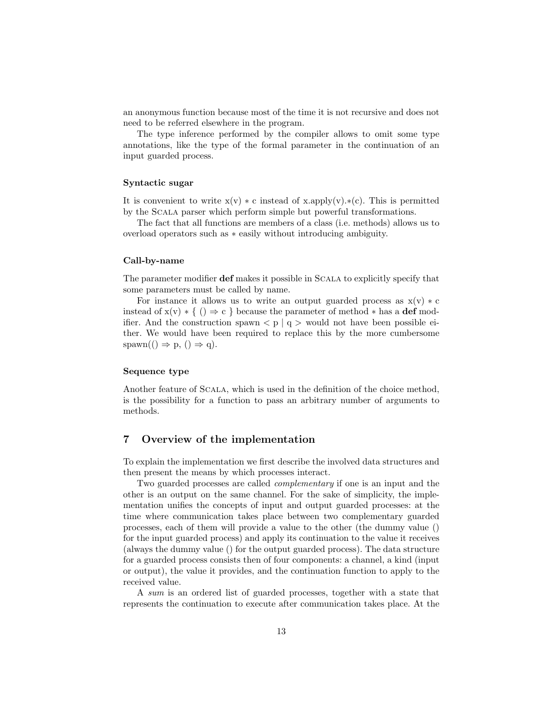an anonymous function because most of the time it is not recursive and does not need to be referred elsewhere in the program.

The type inference performed by the compiler allows to omit some type annotations, like the type of the formal parameter in the continuation of an input guarded process.

#### Syntactic sugar

It is convenient to write  $x(v) * c$  instead of x.apply(v). $*(c)$ . This is permitted by the Scala parser which perform simple but powerful transformations.

The fact that all functions are members of a class (i.e. methods) allows us to overload operators such as ∗ easily without introducing ambiguity.

#### Call-by-name

The parameter modifier def makes it possible in Scala to explicitly specify that some parameters must be called by name.

For instance it allows us to write an output guarded process as  $x(v) * c$ instead of  $x(v) * \{ () \Rightarrow c \}$  because the parameter of method  $*$  has a **def** modifier. And the construction spawn  $\langle p | q \rangle$  would not have been possible either. We would have been required to replace this by the more cumbersome  $span(f) \Rightarrow p, ( ) \Rightarrow q$ .

### Sequence type

Another feature of Scala, which is used in the definition of the choice method, is the possibility for a function to pass an arbitrary number of arguments to methods.

### <span id="page-12-0"></span>7 Overview of the implementation

To explain the implementation we first describe the involved data structures and then present the means by which processes interact.

Two guarded processes are called complementary if one is an input and the other is an output on the same channel. For the sake of simplicity, the implementation unifies the concepts of input and output guarded processes: at the time where communication takes place between two complementary guarded processes, each of them will provide a value to the other (the dummy value () for the input guarded process) and apply its continuation to the value it receives (always the dummy value () for the output guarded process). The data structure for a guarded process consists then of four components: a channel, a kind (input or output), the value it provides, and the continuation function to apply to the received value.

A sum is an ordered list of guarded processes, together with a state that represents the continuation to execute after communication takes place. At the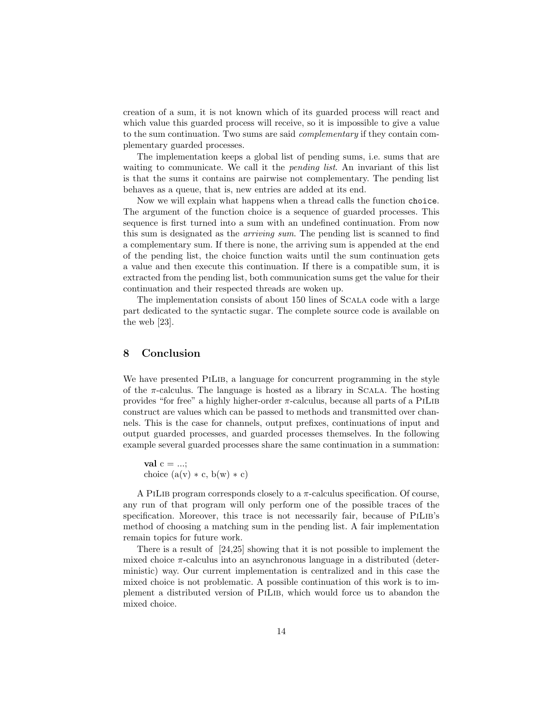creation of a sum, it is not known which of its guarded process will react and which value this guarded process will receive, so it is impossible to give a value to the sum continuation. Two sums are said complementary if they contain complementary guarded processes.

The implementation keeps a global list of pending sums, i.e. sums that are waiting to communicate. We call it the *pending list*. An invariant of this list is that the sums it contains are pairwise not complementary. The pending list behaves as a queue, that is, new entries are added at its end.

Now we will explain what happens when a thread calls the function choice. The argument of the function choice is a sequence of guarded processes. This sequence is first turned into a sum with an undefined continuation. From now this sum is designated as the arriving sum. The pending list is scanned to find a complementary sum. If there is none, the arriving sum is appended at the end of the pending list, the choice function waits until the sum continuation gets a value and then execute this continuation. If there is a compatible sum, it is extracted from the pending list, both communication sums get the value for their continuation and their respected threads are woken up.

The implementation consists of about 150 lines of Scala code with a large part dedicated to the syntactic sugar. The complete source code is available on the web [\[23\]](#page-15-8).

# <span id="page-13-0"></span>8 Conclusion

We have presented PILIB, a language for concurrent programming in the style of the  $\pi$ -calculus. The language is hosted as a library in SCALA. The hosting provides "for free" a highly higher-order  $\pi$ -calculus, because all parts of a PILIB construct are values which can be passed to methods and transmitted over channels. This is the case for channels, output prefixes, continuations of input and output guarded processes, and guarded processes themselves. In the following example several guarded processes share the same continuation in a summation:

val  $c = ...;$ choice  $(a(v) * c, b(w) * c)$ 

A PILIB program corresponds closely to a  $\pi$ -calculus specification. Of course, any run of that program will only perform one of the possible traces of the specification. Moreover, this trace is not necessarily fair, because of PILIB's method of choosing a matching sum in the pending list. A fair implementation remain topics for future work.

There is a result of [\[24,](#page-15-9)[25\]](#page-15-10) showing that it is not possible to implement the mixed choice  $\pi$ -calculus into an asynchronous language in a distributed (deterministic) way. Our current implementation is centralized and in this case the mixed choice is not problematic. A possible continuation of this work is to implement a distributed version of PiLib, which would force us to abandon the mixed choice.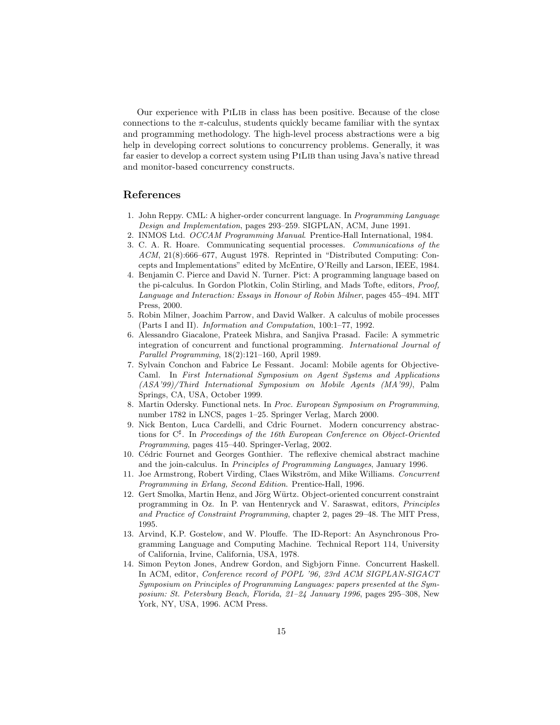Our experience with PiLib in class has been positive. Because of the close connections to the  $\pi$ -calculus, students quickly became familiar with the syntax and programming methodology. The high-level process abstractions were a big help in developing correct solutions to concurrency problems. Generally, it was far easier to develop a correct system using PiLib than using Java's native thread and monitor-based concurrency constructs.

# References

- <span id="page-14-0"></span>1. John Reppy. CML: A higher-order concurrent language. In Programming Language Design and Implementation, pages 293–259. SIGPLAN, ACM, June 1991.
- <span id="page-14-1"></span>2. INMOS Ltd. OCCAM Programming Manual. Prentice-Hall International, 1984.
- <span id="page-14-2"></span>3. C. A. R. Hoare. Communicating sequential processes. Communications of the ACM, 21(8):666–677, August 1978. Reprinted in "Distributed Computing: Concepts and Implementations" edited by McEntire, O'Reilly and Larson, IEEE, 1984.
- <span id="page-14-3"></span>4. Benjamin C. Pierce and David N. Turner. Pict: A programming language based on the pi-calculus. In Gordon Plotkin, Colin Stirling, and Mads Tofte, editors, Proof, Language and Interaction: Essays in Honour of Robin Milner, pages 455–494. MIT Press, 2000.
- <span id="page-14-4"></span>5. Robin Milner, Joachim Parrow, and David Walker. A calculus of mobile processes (Parts I and II). Information and Computation, 100:1–77, 1992.
- <span id="page-14-5"></span>6. Alessandro Giacalone, Prateek Mishra, and Sanjiva Prasad. Facile: A symmetric integration of concurrent and functional programming. International Journal of Parallel Programming, 18(2):121–160, April 1989.
- <span id="page-14-6"></span>7. Sylvain Conchon and Fabrice Le Fessant. Jocaml: Mobile agents for Objective-Caml. In First International Symposium on Agent Systems and Applications (ASA'99)/Third International Symposium on Mobile Agents (MA'99), Palm Springs, CA, USA, October 1999.
- <span id="page-14-7"></span>8. Martin Odersky. Functional nets. In Proc. European Symposium on Programming, number 1782 in LNCS, pages 1–25. Springer Verlag, March 2000.
- <span id="page-14-8"></span>9. Nick Benton, Luca Cardelli, and Cdric Fournet. Modern concurrency abstractions for  $C^{\sharp}$ . In Proceedings of the 16th European Conference on Object-Oriented Programming, pages 415–440. Springer-Verlag, 2002.
- <span id="page-14-9"></span>10. Cédric Fournet and Georges Gonthier. The reflexive chemical abstract machine and the join-calculus. In Principles of Programming Languages, January 1996.
- <span id="page-14-10"></span>11. Joe Armstrong, Robert Virding, Claes Wikström, and Mike Williams. Concurrent Programming in Erlang, Second Edition. Prentice-Hall, 1996.
- <span id="page-14-11"></span>12. Gert Smolka, Martin Henz, and Jörg Würtz. Object-oriented concurrent constraint programming in Oz. In P. van Hentenryck and V. Saraswat, editors, Principles and Practice of Constraint Programming, chapter 2, pages 29–48. The MIT Press, 1995.
- <span id="page-14-12"></span>13. Arvind, K.P. Gostelow, and W. Plouffe. The ID-Report: An Asynchronous Programming Language and Computing Machine. Technical Report 114, University of California, Irvine, California, USA, 1978.
- <span id="page-14-13"></span>14. Simon Peyton Jones, Andrew Gordon, and Sigbjorn Finne. Concurrent Haskell. In ACM, editor, Conference record of POPL '96, 23rd ACM SIGPLAN-SIGACT Symposium on Principles of Programming Languages: papers presented at the Symposium: St. Petersburg Beach, Florida, 21–24 January 1996, pages 295–308, New York, NY, USA, 1996. ACM Press.